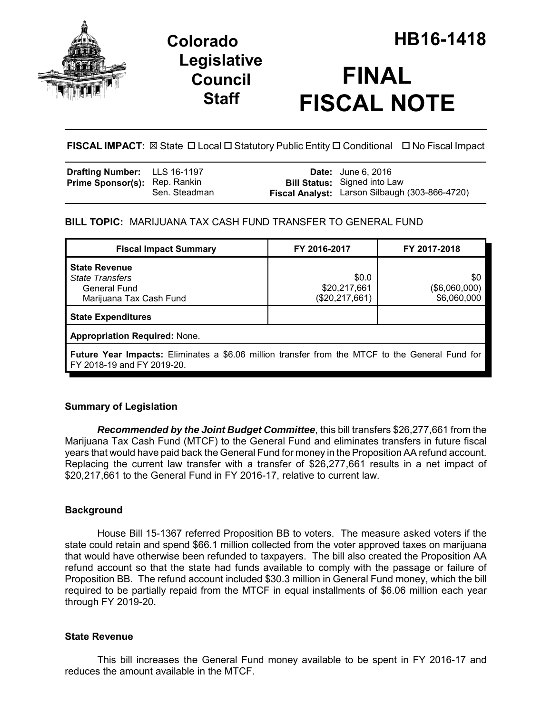

# **Legislative Council Staff**

# **FINAL FISCAL NOTE**

**FISCAL IMPACT:** ⊠ State □ Local □ Statutory Public Entity □ Conditional □ No Fiscal Impact

| <b>Drafting Number:</b> LLS 16-1197  |               | <b>Date:</b> June 6, 2016                                                             |
|--------------------------------------|---------------|---------------------------------------------------------------------------------------|
| <b>Prime Sponsor(s):</b> Rep. Rankin | Sen. Steadman | <b>Bill Status:</b> Signed into Law<br>Fiscal Analyst: Larson Silbaugh (303-866-4720) |

# **BILL TOPIC:** MARIJUANA TAX CASH FUND TRANSFER TO GENERAL FUND

| <b>Fiscal Impact Summary</b>                                                                                                         | FY 2016-2017                            | FY 2017-2018                        |  |  |  |
|--------------------------------------------------------------------------------------------------------------------------------------|-----------------------------------------|-------------------------------------|--|--|--|
| <b>State Revenue</b><br><b>State Transfers</b><br>General Fund<br>Marijuana Tax Cash Fund                                            | \$0.0<br>\$20,217,661<br>(\$20,217,661) | \$0<br>(\$6,060,000)<br>\$6,060,000 |  |  |  |
| <b>State Expenditures</b>                                                                                                            |                                         |                                     |  |  |  |
| <b>Appropriation Required: None.</b>                                                                                                 |                                         |                                     |  |  |  |
| <b>Future Year Impacts:</b> Eliminates a \$6.06 million transfer from the MTCF to the General Fund for<br>FY 2018-19 and FY 2019-20. |                                         |                                     |  |  |  |

# **Summary of Legislation**

*Recommended by the Joint Budget Committee*, this bill transfers \$26,277,661 from the Marijuana Tax Cash Fund (MTCF) to the General Fund and eliminates transfers in future fiscal years that would have paid back the General Fund for money in the Proposition AA refund account. Replacing the current law transfer with a transfer of \$26,277,661 results in a net impact of \$20,217,661 to the General Fund in FY 2016-17, relative to current law.

# **Background**

House Bill 15-1367 referred Proposition BB to voters. The measure asked voters if the state could retain and spend \$66.1 million collected from the voter approved taxes on marijuana that would have otherwise been refunded to taxpayers. The bill also created the Proposition AA refund account so that the state had funds available to comply with the passage or failure of Proposition BB. The refund account included \$30.3 million in General Fund money, which the bill required to be partially repaid from the MTCF in equal installments of \$6.06 million each year through FY 2019-20.

#### **State Revenue**

This bill increases the General Fund money available to be spent in FY 2016-17 and reduces the amount available in the MTCF.